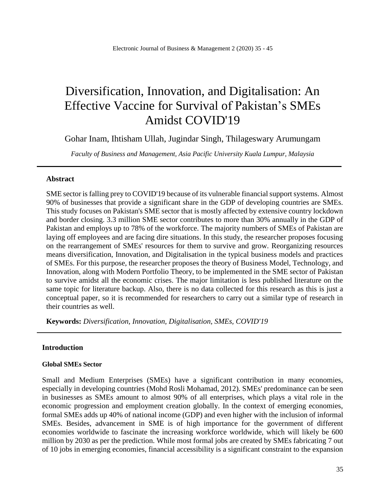# Diversification, Innovation, and Digitalisation: An Effective Vaccine for Survival of Pakistan's SMEs Amidst COVID'19

Gohar Inam, Ihtisham Ullah, Jugindar Singh, Thilageswary Arumungam

*Faculty of Business and Management, Asia Pacific University Kuala Lumpur, Malaysia*

#### **Abstract**

SME sector is falling prey to COVID'19 because of its vulnerable financial support systems. Almost 90% of businesses that provide a significant share in the GDP of developing countries are SMEs. This study focuses on Pakistan's SME sector that is mostly affected by extensive country lockdown and border closing. 3.3 million SME sector contributes to more than 30% annually in the GDP of Pakistan and employs up to 78% of the workforce. The majority numbers of SMEs of Pakistan are laying off employees and are facing dire situations. In this study, the researcher proposes focusing on the rearrangement of SMEs' resources for them to survive and grow. Reorganizing resources means diversification, Innovation, and Digitalisation in the typical business models and practices of SMEs. For this purpose, the researcher proposes the theory of Business Model, Technology, and Innovation, along with Modern Portfolio Theory, to be implemented in the SME sector of Pakistan to survive amidst all the economic crises. The major limitation is less published literature on the same topic for literature backup. Also, there is no data collected for this research as this is just a conceptual paper, so it is recommended for researchers to carry out a similar type of research in their countries as well.

**Keywords:** *Diversification, Innovation, Digitalisation, SMEs, COVID'19*

# **Introduction**

#### **Global SMEs Sector**

Small and Medium Enterprises (SMEs) have a significant contribution in many economies, especially in developing countries (Mohd Rosli Mohamad, 2012). SMEs' predominance can be seen in businesses as SMEs amount to almost 90% of all enterprises, which plays a vital role in the economic progression and employment creation globally. In the context of emerging economies, formal SMEs adds up 40% of national income (GDP) and even higher with the inclusion of informal SMEs. Besides, advancement in SME is of high importance for the government of different economies worldwide to fascinate the increasing workforce worldwide, which will likely be 600 million by 2030 as per the prediction. While most formal jobs are created by SMEs fabricating 7 out of 10 jobs in emerging economies, financial accessibility is a significant constraint to the expansion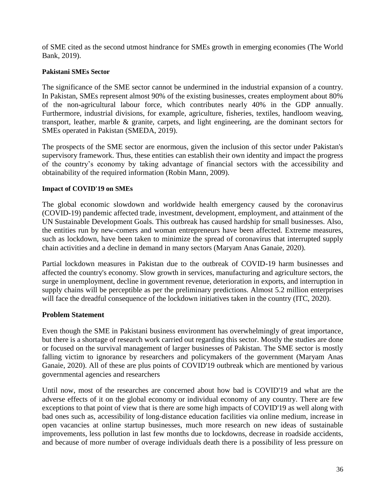of SME cited as the second utmost hindrance for SMEs growth in emerging economies (The World Bank, 2019).

# **Pakistani SMEs Sector**

The significance of the SME sector cannot be undermined in the industrial expansion of a country. In Pakistan, SMEs represent almost 90% of the existing businesses, creates employment about 80% of the non-agricultural labour force, which contributes nearly 40% in the GDP annually. Furthermore, industrial divisions, for example, agriculture, fisheries, textiles, handloom weaving, transport, leather, marble & granite, carpets, and light engineering, are the dominant sectors for SMEs operated in Pakistan (SMEDA, 2019).

The prospects of the SME sector are enormous, given the inclusion of this sector under Pakistan's supervisory framework. Thus, these entities can establish their own identity and impact the progress of the country's economy by taking advantage of financial sectors with the accessibility and obtainability of the required information (Robin Mann, 2009).

# **Impact of COVID'19 on SMEs**

The global economic slowdown and worldwide health emergency caused by the coronavirus (COVID-19) pandemic affected trade, investment, development, employment, and attainment of the UN Sustainable Development Goals. This outbreak has caused hardship for small businesses. Also, the entities run by new-comers and woman entrepreneurs have been affected. Extreme measures, such as lockdown, have been taken to minimize the spread of coronavirus that interrupted supply chain activities and a decline in demand in many sectors (Maryam Anas Ganaie, 2020).

Partial lockdown measures in Pakistan due to the outbreak of COVID-19 harm businesses and affected the country's economy. Slow growth in services, manufacturing and agriculture sectors, the surge in unemployment, decline in government revenue, deterioration in exports, and interruption in supply chains will be perceptible as per the preliminary predictions. Almost 5.2 million enterprises will face the dreadful consequence of the lockdown initiatives taken in the country (ITC, 2020).

# **Problem Statement**

Even though the SME in Pakistani business environment has overwhelmingly of great importance, but there is a shortage of research work carried out regarding this sector. Mostly the studies are done or focused on the survival management of larger businesses of Pakistan. The SME sector is mostly falling victim to ignorance by researchers and policymakers of the government (Maryam Anas Ganaie, 2020). All of these are plus points of COVID'19 outbreak which are mentioned by various governmental agencies and researchers

Until now, most of the researches are concerned about how bad is COVID'19 and what are the adverse effects of it on the global economy or individual economy of any country. There are few exceptions to that point of view that is there are some high impacts of COVID'19 as well along with bad ones such as, accessibility of long-distance education facilities via online medium, increase in open vacancies at online startup businesses, much more research on new ideas of sustainable improvements, less pollution in last few months due to lockdowns, decrease in roadside accidents, and because of more number of overage individuals death there is a possibility of less pressure on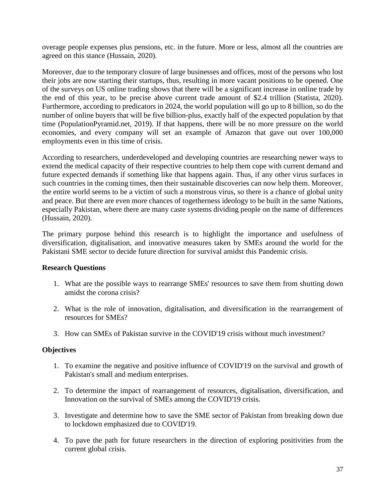overage people expenses plus pensions, etc. in the future. More or less, almost all the countries are agreed on this stance (Hussain, 2020).

Moreover, due to the temporary closure of large businesses and offices, most of the persons who lost their jobs are now starting their startups, thus, resulting in more vacant positions to be opened. One of the surveys on US online trading shows that there will be a significant increase in online trade by the end of this year, to be precise above current trade amount of \$2.4 trillion (Statista, 2020). Furthermore, according to predicators in 2024, the world population will go up to 8 billion, so do the number of online buyers that will be five billion-plus, exactly half of the expected population by that time (PopulationPyramid.net, 2019). If that happens, there will be no more pressure on the world economies, and every company will set an example of Amazon that gave out over 100,000 employments even in this time of crisis.

According to researchers, underdeveloped and developing countries are researching newer ways to extend the medical capacity of their respective countries to help them cope with current demand and future expected demands if something like that happens again. Thus, if any other virus surfaces in such countries in the coming times, then their sustainable discoveries can now help them. Moreover, the entire world seems to be a victim of such a monstrous virus, so there is a chance of global unity and peace. But there are even more chances of togetherness ideology to be built in the same Nations, especially Pakistan, where there are many caste systems dividing people on the name of differences (Hussain, 2020).

The primary purpose behind this research is to highlight the importance and usefulness of diversification, digitalisation, and innovative measures taken by SMEs around the world for the Pakistani SME sector to decide future direction for survival amidst this Pandemic crisis.

# **Research Questions**

- 1. What are the possible ways to rearrange SMEs' resources to save them from shutting down amidst the corona crisis?
- 2. What is the role of innovation, digitalisation, and diversification in the rearrangement of resources for SMEs?
- 3. How can SMEs of Pakistan survive in the COVID'19 crisis without much investment?

# **Objectives**

- 1. To examine the negative and positive influence of COVID'19 on the survival and growth of Pakistan's small and medium enterprises.
- 2. To determine the impact of rearrangement of resources, digitalisation, diversification, and Innovation on the survival of SMEs among the COVID'19 crisis.
- 3. Investigate and determine how to save the SME sector of Pakistan from breaking down due to lockdown emphasized due to COVID'19.
- 4. To pave the path for future researchers in the direction of exploring positivities from the current global crisis.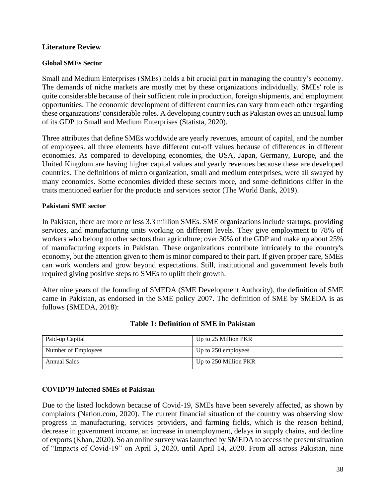# **Literature Review**

### **Global SMEs Sector**

Small and Medium Enterprises (SMEs) holds a bit crucial part in managing the country's economy. The demands of niche markets are mostly met by these organizations individually. SMEs' role is quite considerable because of their sufficient role in production, foreign shipments, and employment opportunities. The economic development of different countries can vary from each other regarding these organizations' considerable roles. A developing country such as Pakistan owes an unusual lump of its GDP to Small and Medium Enterprises (Statista, 2020).

Three attributes that define SMEs worldwide are yearly revenues, amount of capital, and the number of employees. all three elements have different cut-off values because of differences in different economies. As compared to developing economies, the USA, Japan, Germany, Europe, and the United Kingdom are having higher capital values and yearly revenues because these are developed countries. The definitions of micro organization, small and medium enterprises, were all swayed by many economies. Some economies divided these sectors more, and some definitions differ in the traits mentioned earlier for the products and services sector (The World Bank, 2019).

#### **Pakistani SME sector**

In Pakistan, there are more or less 3.3 million SMEs. SME organizations include startups, providing services, and manufacturing units working on different levels. They give employment to 78% of workers who belong to other sectors than agriculture; over 30% of the GDP and make up about 25% of manufacturing exports in Pakistan. These organizations contribute intricately to the country's economy, but the attention given to them is minor compared to their part. If given proper care, SMEs can work wonders and grow beyond expectations. Still, institutional and government levels both required giving positive steps to SMEs to uplift their growth.

After nine years of the founding of SMEDA (SME Development Authority), the definition of SME came in Pakistan, as endorsed in the SME policy 2007. The definition of SME by SMEDA is as follows (SMEDA, 2018):

| Paid-up Capital     | Up to 25 Million PKR  |
|---------------------|-----------------------|
| Number of Employees | Up to 250 employees   |
| Annual Sales        | Up to 250 Million PKR |

# **Table 1: Definition of SME in Pakistan**

#### **COVID'19 Infected SMEs of Pakistan**

Due to the listed lockdown because of Covid-19, SMEs have been severely affected, as shown by complaints (Nation.com, 2020). The current financial situation of the country was observing slow progress in manufacturing, services providers, and farming fields, which is the reason behind, decrease in government income, an increase in unemployment, delays in supply chains, and decline of exports (Khan, 2020). So an online survey was launched by SMEDA to access the present situation of "Impacts of Covid-19" on April 3, 2020, until April 14, 2020. From all across Pakistan, nine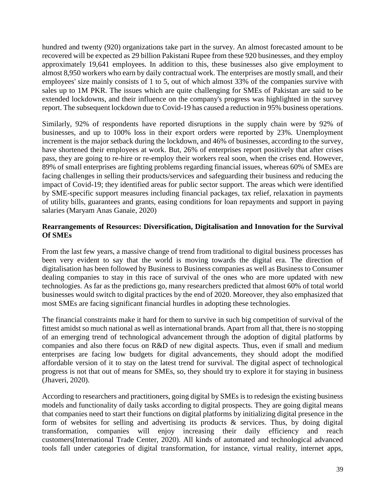hundred and twenty (920) organizations take part in the survey. An almost forecasted amount to be recovered will be expected as 29 billion Pakistani Rupee from these 920 businesses, and they employ approximately 19,641 employees. In addition to this, these businesses also give employment to almost 8,950 workers who earn by daily contractual work. The enterprises are mostly small, and their employees' size mainly consists of 1 to 5, out of which almost 33% of the companies survive with sales up to 1M PKR. The issues which are quite challenging for SMEs of Pakistan are said to be extended lockdowns, and their influence on the company's progress was highlighted in the survey report. The subsequent lockdown due to Covid-19 has caused a reduction in 95% business operations.

Similarly, 92% of respondents have reported disruptions in the supply chain were by 92% of businesses, and up to 100% loss in their export orders were reported by 23%. Unemployment increment is the major setback during the lockdown, and 46% of businesses, according to the survey, have shortened their employees at work. But, 26% of enterprises report positively that after crises pass, they are going to re-hire or re-employ their workers real soon, when the crises end. However, 89% of small enterprises are fighting problems regarding financial issues, whereas 60% of SMEs are facing challenges in selling their products/services and safeguarding their business and reducing the impact of Covid-19; they identified areas for public sector support. The areas which were identified by SME-specific support measures including financial packages, tax relief, relaxation in payments of utility bills, guarantees and grants, easing conditions for loan repayments and support in paying salaries (Maryam Anas Ganaie, 2020)

# **Rearrangements of Resources: Diversification, Digitalisation and Innovation for the Survival Of SMEs**

From the last few years, a massive change of trend from traditional to digital business processes has been very evident to say that the world is moving towards the digital era. The direction of digitalisation has been followed by Business to Business companies as well as Business to Consumer dealing companies to stay in this race of survival of the ones who are more updated with new technologies. As far as the predictions go, many researchers predicted that almost 60% of total world businesses would switch to digital practices by the end of 2020. Moreover, they also emphasized that most SMEs are facing significant financial hurdles in adopting these technologies.

The financial constraints make it hard for them to survive in such big competition of survival of the fittest amidst so much national as well as international brands. Apart from all that, there is no stopping of an emerging trend of technological advancement through the adoption of digital platforms by companies and also there focus on R&D of new digital aspects. Thus, even if small and medium enterprises are facing low budgets for digital advancements, they should adopt the modified affordable version of it to stay on the latest trend for survival. The digital aspect of technological progress is not that out of means for SMEs, so, they should try to explore it for staying in business (Jhaveri, 2020).

According to researchers and practitioners, going digital by SMEs is to redesign the existing business models and functionality of daily tasks according to digital prospects. They are going digital means that companies need to start their functions on digital platforms by initializing digital presence in the form of websites for selling and advertising its products & services. Thus, by doing digital transformation, companies will enjoy increasing their daily efficiency and reach customers(International Trade Center, 2020). All kinds of automated and technological advanced tools fall under categories of digital transformation, for instance, virtual reality, internet apps,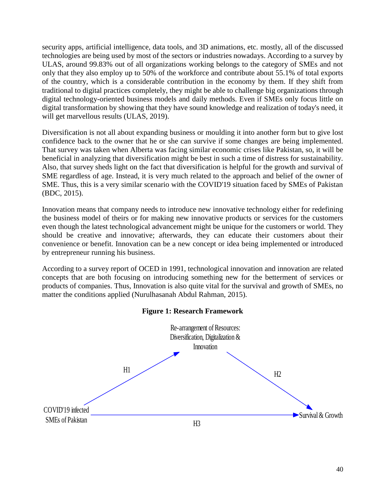security apps, artificial intelligence, data tools, and 3D animations, etc. mostly, all of the discussed technologies are being used by most of the sectors or industries nowadays. According to a survey by ULAS, around 99.83% out of all organizations working belongs to the category of SMEs and not only that they also employ up to 50% of the workforce and contribute about 55.1% of total exports of the country, which is a considerable contribution in the economy by them. If they shift from traditional to digital practices completely, they might be able to challenge big organizations through digital technology-oriented business models and daily methods. Even if SMEs only focus little on digital transformation by showing that they have sound knowledge and realization of today's need, it will get marvellous results (ULAS, 2019).

Diversification is not all about expanding business or moulding it into another form but to give lost confidence back to the owner that he or she can survive if some changes are being implemented. That survey was taken when Alberta was facing similar economic crises like Pakistan, so, it will be beneficial in analyzing that diversification might be best in such a time of distress for sustainability. Also, that survey sheds light on the fact that diversification is helpful for the growth and survival of SME regardless of age. Instead, it is very much related to the approach and belief of the owner of SME. Thus, this is a very similar scenario with the COVID'19 situation faced by SMEs of Pakistan (BDC, 2015).

Innovation means that company needs to introduce new innovative technology either for redefining the business model of theirs or for making new innovative products or services for the customers even though the latest technological advancement might be unique for the customers or world. They should be creative and innovative; afterwards, they can educate their customers about their convenience or benefit. Innovation can be a new concept or idea being implemented or introduced by entrepreneur running his business.

According to a survey report of OCED in 1991, technological innovation and innovation are related concepts that are both focusing on introducing something new for the betterment of services or products of companies. Thus, Innovation is also quite vital for the survival and growth of SMEs, no matter the conditions applied (Nurulhasanah Abdul Rahman, 2015).



### **Figure 1: Research Framework**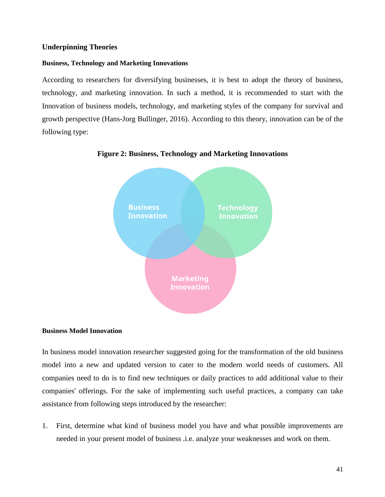# **Underpinning Theories**

#### **Business, Technology and Marketing Innovations**

According to researchers for diversifying businesses, it is best to adopt the theory of business, technology, and marketing innovation. In such a method, it is recommended to start with the Innovation of business models, technology, and marketing styles of the company for survival and growth perspective (Hans-Jorg Bullinger, 2016). According to this theory, innovation can be of the following type:



#### **Figure 2: Business, Technology and Marketing Innovations**

#### **Business Model Innovation**

In business model innovation researcher suggested going for the transformation of the old business model into a new and updated version to cater to the modern world needs of customers. All companies need to do is to find new techniques or daily practices to add additional value to their companies' offerings. For the sake of implementing such useful practices, a company can take assistance from following steps introduced by the researcher:

1. First, determine what kind of business model you have and what possible improvements are needed in your present model of business .i.e. analyze your weaknesses and work on them.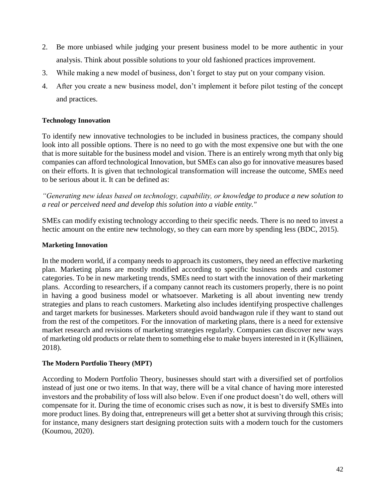- 2. Be more unbiased while judging your present business model to be more authentic in your analysis. Think about possible solutions to your old fashioned practices improvement.
- 3. While making a new model of business, don't forget to stay put on your company vision.
- 4. After you create a new business model, don't implement it before pilot testing of the concept and practices.

# **Technology Innovation**

To identify new innovative technologies to be included in business practices, the company should look into all possible options. There is no need to go with the most expensive one but with the one that is more suitable for the business model and vision. There is an entirely wrong myth that only big companies can afford technological Innovation, but SMEs can also go for innovative measures based on their efforts. It is given that technological transformation will increase the outcome, SMEs need to be serious about it. It can be defined as:

*"Generating new ideas based on technology, capability, or knowledge to produce a new solution to a real or perceived need and develop this solution into a viable entity."*

SMEs can modify existing technology according to their specific needs. There is no need to invest a hectic amount on the entire new technology, so they can earn more by spending less (BDC, 2015).

# **Marketing Innovation**

In the modern world, if a company needs to approach its customers, they need an effective marketing plan. Marketing plans are mostly modified according to specific business needs and customer categories. To be in new marketing trends, SMEs need to start with the innovation of their marketing plans. According to researchers, if a company cannot reach its customers properly, there is no point in having a good business model or whatsoever. Marketing is all about inventing new trendy strategies and plans to reach customers. Marketing also includes identifying prospective challenges and target markets for businesses. Marketers should avoid bandwagon rule if they want to stand out from the rest of the competitors. For the innovation of marketing plans, there is a need for extensive market research and revisions of marketing strategies regularly. Companies can discover new ways of marketing old products or relate them to something else to make buyers interested in it (Kylliäinen, 2018).

# **The Modern Portfolio Theory (MPT)**

According to Modern Portfolio Theory, businesses should start with a diversified set of portfolios instead of just one or two items. In that way, there will be a vital chance of having more interested investors and the probability of loss will also below. Even if one product doesn't do well, others will compensate for it. During the time of economic crises such as now, it is best to diversify SMEs into more product lines. By doing that, entrepreneurs will get a better shot at surviving through this crisis; for instance, many designers start designing protection suits with a modern touch for the customers (Koumou, 2020).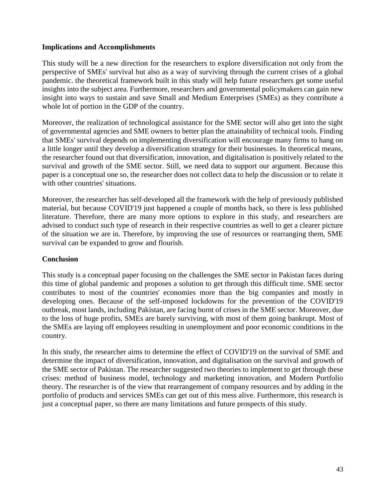# **Implications and Accomplishments**

This study will be a new direction for the researchers to explore diversification not only from the perspective of SMEs' survival but also as a way of surviving through the current crises of a global pandemic. the theoretical framework built in this study will help future researchers get some useful insights into the subject area. Furthermore, researchers and governmental policymakers can gain new insight into ways to sustain and save Small and Medium Enterprises (SMEs) as they contribute a whole lot of portion in the GDP of the country.

Moreover, the realization of technological assistance for the SME sector will also get into the sight of governmental agencies and SME owners to better plan the attainability of technical tools. Finding that SMEs' survival depends on implementing diversification will encourage many firms to hang on a little longer until they develop a diversification strategy for their businesses. In theoretical means, the researcher found out that diversification, innovation, and digitalisation is positively related to the survival and growth of the SME sector. Still, we need data to support our argument. Because this paper is a conceptual one so, the researcher does not collect data to help the discussion or to relate it with other countries' situations.

Moreover, the researcher has self-developed all the framework with the help of previously published material, but because COVID'19 just happened a couple of months back, so there is less published literature. Therefore, there are many more options to explore in this study, and researchers are advised to conduct such type of research in their respective countries as well to get a clearer picture of the situation we are in. Therefore, by improving the use of resources or rearranging them, SME survival can be expanded to grow and flourish.

# **Conclusion**

This study is a conceptual paper focusing on the challenges the SME sector in Pakistan faces during this time of global pandemic and proposes a solution to get through this difficult time. SME sector contributes to most of the countries' economies more than the big companies and mostly in developing ones. Because of the self-imposed lockdowns for the prevention of the COVID'19 outbreak, most lands, including Pakistan, are facing burnt of crises in the SME sector. Moreover, due to the loss of huge profits, SMEs are barely surviving, with most of them going bankrupt. Most of the SMEs are laying off employees resulting in unemployment and poor economic conditions in the country.

In this study, the researcher aims to determine the effect of COVID'19 on the survival of SME and determine the impact of diversification, innovation, and digitalisation on the survival and growth of the SME sector of Pakistan. The researcher suggested two theories to implement to get through these crises: method of business model, technology and marketing innovation, and Modern Portfolio theory. The researcher is of the view that rearrangement of company resources and by adding in the portfolio of products and services SMEs can get out of this mess alive. Furthermore, this research is just a conceptual paper, so there are many limitations and future prospects of this study.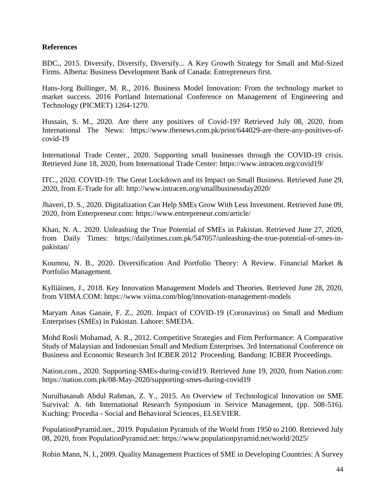# **References**

BDC., 2015. Diversify, Diversify, Diversify... A Key Growth Strategy for Small and Mid-Sized Firms. Alberta: Business Development Bank of Canada: Entrepreneurs first.

Hans-Jorg Bullinger, M. R., 2016. Business Model Innovation: From the technology market to market success. 2016 Portland International Conference on Management of Engineering and Technology (PICMET) 1264-1270.

Hussain, S. M., 2020. Are there any positives of Covid-19? Retrieved July 08, 2020, from International The News: https://www.thenews.com.pk/print/644029-are-there-any-positives-ofcovid-19

International Trade Center., 2020. Supporting small businesses through the COVID-19 crisis. Retrieved June 18, 2020, from International Trade Center: https://www.intracen.org/covid19/

ITC., 2020. COVID-19: The Great Lockdown and its Impact on Small Business. Retrieved June 29, 2020, from E-Trade for all: http://www.intracen.org/smallbusinessday2020/

Jhaveri, D. S., 2020. Digitalization Can Help SMEs Grow With Less Investment. Retrieved June 09, 2020, from Enterpreneur.com: https://www.entrepreneur.com/article/

Khan, N. A.. 2020. Unleashing the True Potential of SMEs in Pakistan. Retrieved June 27, 2020, from Daily Times: https://dailytimes.com.pk/547057/unleashing-the-true-potential-of-smes-inpakistan/

Koumou, N. B., 2020. Diversification And Portfolio Theory: A Review. Financial Market & Portfolio Management.

Kylliäinen, J., 2018. Key Innovation Management Models and Theories. Retrieved June 28, 2020, from VIIMA.COM: https://www.viima.com/blog/innovation-management-models

Maryam Anas Ganaie, F. Z., 2020. Impact of COVID-19 (Coronavirus) on Small and Medium Enterprises (SMEs) in Pakistan. Lahore: SMEDA.

Mohd Rosli Mohamad, A. R., 2012. Competitive Strategies and Firm Performance: A Comparative Study of Malaysian and Indonesian Small and Medium Enterprises. 3rd International Conference on Business and Economic Research 3rd ICBER 2012 Proceeding. Bandung: ICBER Proceedings.

Nation.com., 2020. Supporting-SMEs-during-covid19. Retrieved June 19, 2020, from Nation.com: https://nation.com.pk/08-May-2020/supporting-smes-during-covid19

Nurulhasanah Abdul Rahman, Z. Y., 2015. An Overview of Technological Innovation on SME Survival: A. 6th International Research Symposium in Service Management, (pp. 508-516). Kuching: Procedia - Social and Behavioral Sciences, ELSEVIER.

PopulationPyramid.net., 2019. Population Pyramids of the World from 1950 to 2100. Retrieved July 08, 2020, from PopulationPyramid.net: https://www.populationpyramid.net/world/2025/

Robin Mann, N. I., 2009. Quality Management Practices of SME in Developing Countries: A Survey